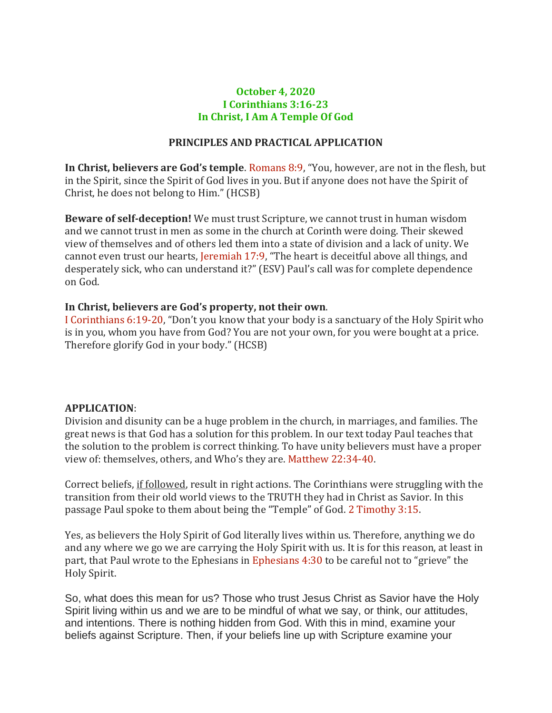## **October 4, 2020 I Corinthians 3:16-23 In Christ, I Am A Temple Of God**

## **PRINCIPLES AND PRACTICAL APPLICATION**

**In Christ, believers are God's temple**. Romans 8:9, "You, however, are not in the flesh, but in the Spirit, since the Spirit of God lives in you. But if anyone does not have the Spirit of Christ, he does not belong to Him." (HCSB)

**Beware of self-deception!** We must trust Scripture, we cannot trust in human wisdom and we cannot trust in men as some in the church at Corinth were doing. Their skewed view of themselves and of others led them into a state of division and a lack of unity. We cannot even trust our hearts, Jeremiah 17:9, "The heart is deceitful above all things, and desperately sick, who can understand it?" (ESV) Paul's call was for complete dependence on God.

## **In Christ, believers are God's property, not their own**.

I Corinthians 6:19-20, "Don't you know that your body is a sanctuary of the Holy Spirit who is in you, whom you have from God? You are not your own, for you were bought at a price. Therefore glorify God in your body." (HCSB)

## **APPLICATION**:

Division and disunity can be a huge problem in the church, in marriages, and families. The great news is that God has a solution for this problem. In our text today Paul teaches that the solution to the problem is correct thinking. To have unity believers must have a proper view of: themselves, others, and Who's they are. Matthew 22:34-40.

Correct beliefs, if followed, result in right actions. The Corinthians were struggling with the transition from their old world views to the TRUTH they had in Christ as Savior. In this passage Paul spoke to them about being the "Temple" of God. 2 Timothy 3:15.

Yes, as believers the Holy Spirit of God literally lives within us. Therefore, anything we do and any where we go we are carrying the Holy Spirit with us. It is for this reason, at least in part, that Paul wrote to the Ephesians in Ephesians 4:30 to be careful not to "grieve" the Holy Spirit.

So, what does this mean for us? Those who trust Jesus Christ as Savior have the Holy Spirit living within us and we are to be mindful of what we say, or think, our attitudes, and intentions. There is nothing hidden from God. With this in mind, examine your beliefs against Scripture. Then, if your beliefs line up with Scripture examine your